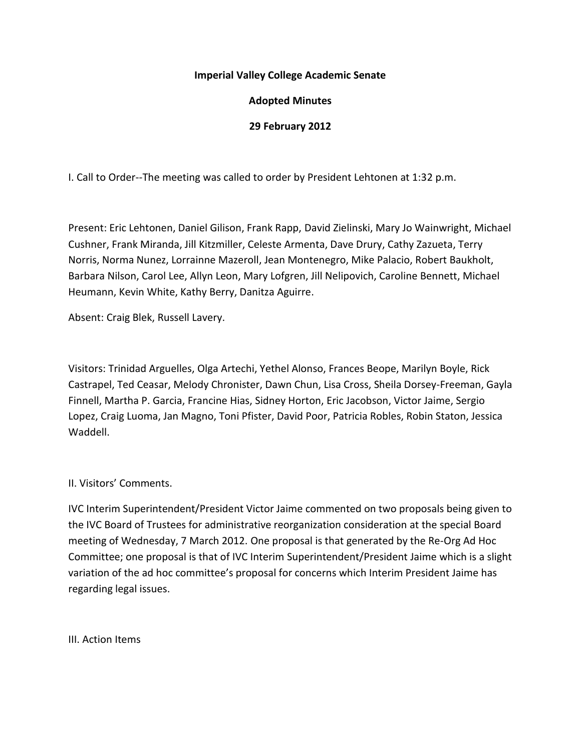#### **Imperial Valley College Academic Senate**

## **Adopted Minutes**

### **29 February 2012**

I. Call to Order--The meeting was called to order by President Lehtonen at 1:32 p.m.

Present: Eric Lehtonen, Daniel Gilison, Frank Rapp, David Zielinski, Mary Jo Wainwright, Michael Cushner, Frank Miranda, Jill Kitzmiller, Celeste Armenta, Dave Drury, Cathy Zazueta, Terry Norris, Norma Nunez, Lorrainne Mazeroll, Jean Montenegro, Mike Palacio, Robert Baukholt, Barbara Nilson, Carol Lee, Allyn Leon, Mary Lofgren, Jill Nelipovich, Caroline Bennett, Michael Heumann, Kevin White, Kathy Berry, Danitza Aguirre.

Absent: Craig Blek, Russell Lavery.

Visitors: Trinidad Arguelles, Olga Artechi, Yethel Alonso, Frances Beope, Marilyn Boyle, Rick Castrapel, Ted Ceasar, Melody Chronister, Dawn Chun, Lisa Cross, Sheila Dorsey-Freeman, Gayla Finnell, Martha P. Garcia, Francine Hias, Sidney Horton, Eric Jacobson, Victor Jaime, Sergio Lopez, Craig Luoma, Jan Magno, Toni Pfister, David Poor, Patricia Robles, Robin Staton, Jessica Waddell.

#### II. Visitors' Comments.

IVC Interim Superintendent/President Victor Jaime commented on two proposals being given to the IVC Board of Trustees for administrative reorganization consideration at the special Board meeting of Wednesday, 7 March 2012. One proposal is that generated by the Re-Org Ad Hoc Committee; one proposal is that of IVC Interim Superintendent/President Jaime which is a slight variation of the ad hoc committee's proposal for concerns which Interim President Jaime has regarding legal issues.

III. Action Items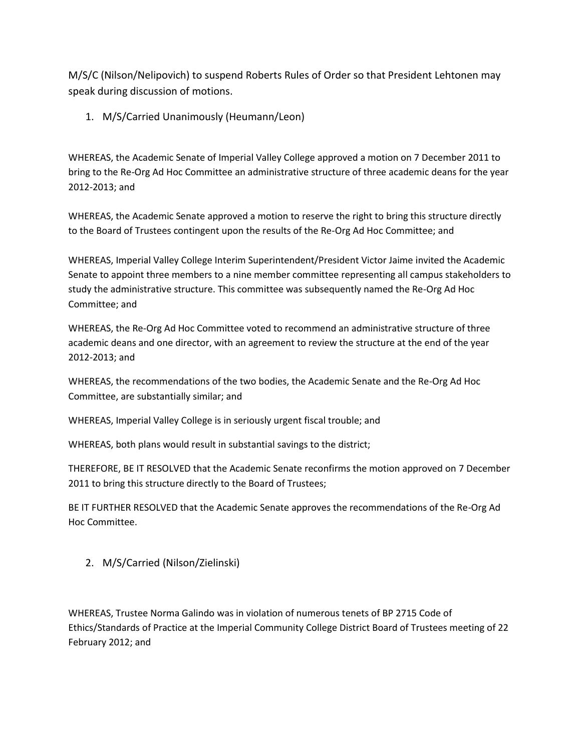M/S/C (Nilson/Nelipovich) to suspend Roberts Rules of Order so that President Lehtonen may speak during discussion of motions.

1. M/S/Carried Unanimously (Heumann/Leon)

WHEREAS, the Academic Senate of Imperial Valley College approved a motion on 7 December 2011 to bring to the Re-Org Ad Hoc Committee an administrative structure of three academic deans for the year 2012-2013; and

WHEREAS, the Academic Senate approved a motion to reserve the right to bring this structure directly to the Board of Trustees contingent upon the results of the Re-Org Ad Hoc Committee; and

WHEREAS, Imperial Valley College Interim Superintendent/President Victor Jaime invited the Academic Senate to appoint three members to a nine member committee representing all campus stakeholders to study the administrative structure. This committee was subsequently named the Re-Org Ad Hoc Committee; and

WHEREAS, the Re-Org Ad Hoc Committee voted to recommend an administrative structure of three academic deans and one director, with an agreement to review the structure at the end of the year 2012-2013; and

WHEREAS, the recommendations of the two bodies, the Academic Senate and the Re-Org Ad Hoc Committee, are substantially similar; and

WHEREAS, Imperial Valley College is in seriously urgent fiscal trouble; and

WHEREAS, both plans would result in substantial savings to the district;

THEREFORE, BE IT RESOLVED that the Academic Senate reconfirms the motion approved on 7 December 2011 to bring this structure directly to the Board of Trustees;

BE IT FURTHER RESOLVED that the Academic Senate approves the recommendations of the Re-Org Ad Hoc Committee.

2. M/S/Carried (Nilson/Zielinski)

WHEREAS, Trustee Norma Galindo was in violation of numerous tenets of BP 2715 Code of Ethics/Standards of Practice at the Imperial Community College District Board of Trustees meeting of 22 February 2012; and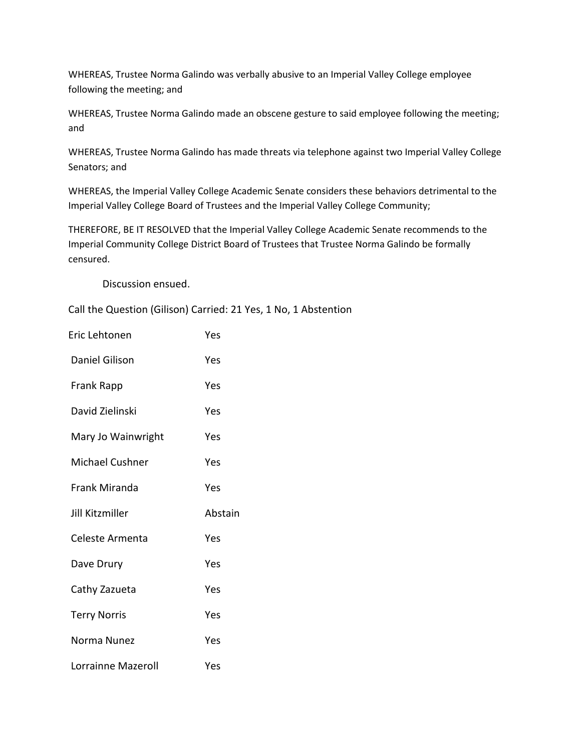WHEREAS, Trustee Norma Galindo was verbally abusive to an Imperial Valley College employee following the meeting; and

WHEREAS, Trustee Norma Galindo made an obscene gesture to said employee following the meeting; and

WHEREAS, Trustee Norma Galindo has made threats via telephone against two Imperial Valley College Senators; and

WHEREAS, the Imperial Valley College Academic Senate considers these behaviors detrimental to the Imperial Valley College Board of Trustees and the Imperial Valley College Community;

THEREFORE, BE IT RESOLVED that the Imperial Valley College Academic Senate recommends to the Imperial Community College District Board of Trustees that Trustee Norma Galindo be formally censured.

Discussion ensued.

Call the Question (Gilison) Carried: 21 Yes, 1 No, 1 Abstention

| Eric Lehtonen          | Yes     |
|------------------------|---------|
| Daniel Gilison         | Yes     |
| Frank Rapp             | Yes     |
| David Zielinski        | Yes     |
| Mary Jo Wainwright     | Yes     |
| Michael Cushner        | Yes     |
| Frank Miranda          | Yes     |
| <b>Jill Kitzmiller</b> | Abstain |
|                        |         |
| Celeste Armenta        | Yes     |
| Dave Drury             | Yes     |
| Cathy Zazueta          | Yes     |
| <b>Terry Norris</b>    | Yes     |
| Norma Nunez            | Yes     |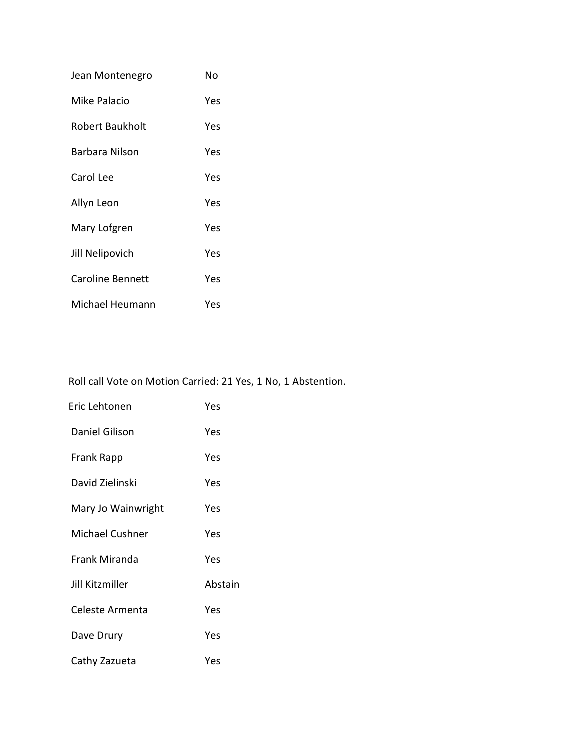| Jean Montenegro  | No  |
|------------------|-----|
| Mike Palacio     | Yes |
| Robert Baukholt  | Yes |
| Barbara Nilson   | Yes |
| Carol Lee        | Yes |
| Allyn Leon       | Yes |
| Mary Lofgren     | Yes |
| Jill Nelipovich  | Yes |
| Caroline Bennett | Yes |
| Michael Heumann  | Yes |

Roll call Vote on Motion Carried: 21 Yes, 1 No, 1 Abstention.

| Eric Lehtonen         | Yes     |
|-----------------------|---------|
| <b>Daniel Gilison</b> | Yes     |
| Frank Rapp            | Yes     |
| David Zielinski       | Yes     |
| Mary Jo Wainwright    | Yes     |
| Michael Cushner       | Yes     |
| Frank Miranda         | Yes     |
| Jill Kitzmiller       | Abstain |
| Celeste Armenta       | Yes     |
| Dave Drury            | Yes     |
| Cathy Zazueta         | Yes     |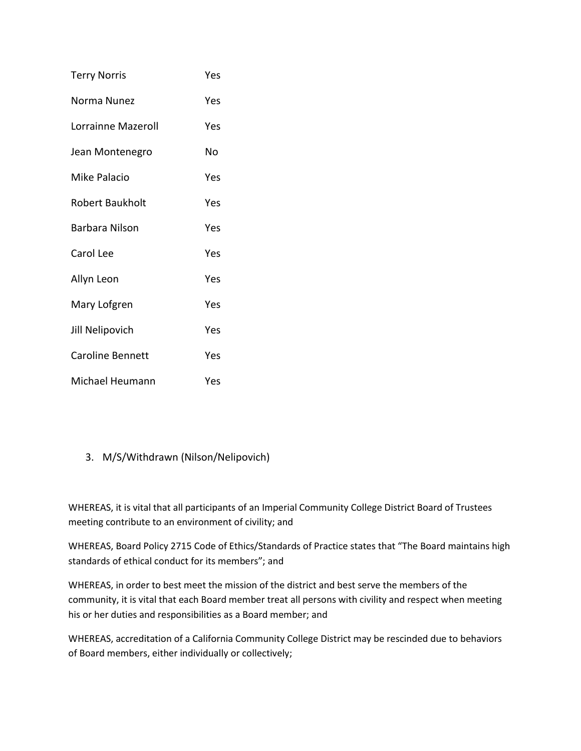| <b>Terry Norris</b>     | Yes |
|-------------------------|-----|
| Norma Nunez             | Yes |
| Lorrainne Mazeroll      | Yes |
| Jean Montenegro         | No  |
| Mike Palacio            | Yes |
| Robert Baukholt         | Yes |
| <b>Barbara Nilson</b>   | Yes |
| Carol Lee               | Yes |
| Allyn Leon              | Yes |
| Mary Lofgren            | Yes |
| Jill Nelipovich         | Yes |
| <b>Caroline Bennett</b> | Yes |
| Michael Heumann         | Yes |

# 3. M/S/Withdrawn (Nilson/Nelipovich)

WHEREAS, it is vital that all participants of an Imperial Community College District Board of Trustees meeting contribute to an environment of civility; and

WHEREAS, Board Policy 2715 Code of Ethics/Standards of Practice states that "The Board maintains high standards of ethical conduct for its members"; and

WHEREAS, in order to best meet the mission of the district and best serve the members of the community, it is vital that each Board member treat all persons with civility and respect when meeting his or her duties and responsibilities as a Board member; and

WHEREAS, accreditation of a California Community College District may be rescinded due to behaviors of Board members, either individually or collectively;